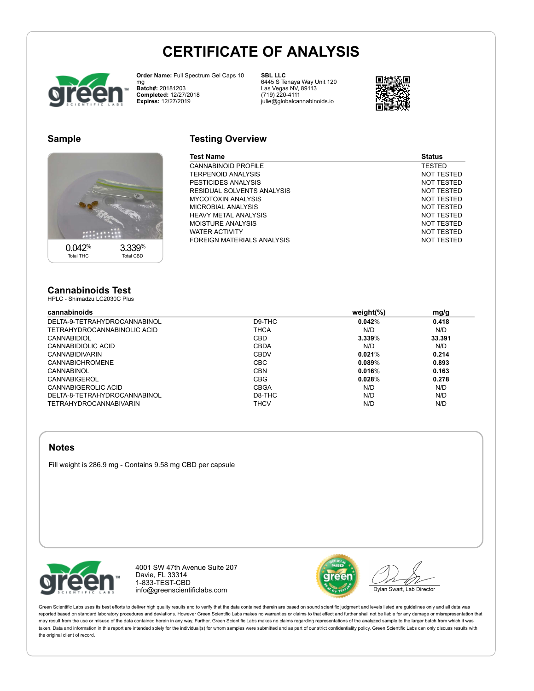# **CERTIFICATE OF ANALYSIS**



**Order Name:** Full Spectrum Gel Caps 10 mg **Batch#:** 20181203 **Completed:** 12/27/2018 **Expires:** 12/27/2019

**SBL LLC** 6445 S Tenaya Way Unit 120 Las Vegas NV, 89113 (719) 220-4111 julie@globalcannabinoids.io



# **Sample**



# **Testing Overview**

| Test Name                  | <b>Status</b> |
|----------------------------|---------------|
| CANNABINOID PROFILE        | <b>TESTED</b> |
| TERPENOID ANALYSIS         | NOT TESTED    |
| PESTICIDES ANALYSIS        | NOT TESTED    |
| RESIDUAL SOLVENTS ANALYSIS | NOT TESTED    |
| MYCOTOXIN ANALYSIS         | NOT TESTED    |
| MICROBIAL ANALYSIS         | NOT TESTED    |
| HEAVY METAL ANALYSIS       | NOT TESTED    |
| MOISTURE ANALYSIS          | NOT TESTED    |
| WATER ACTIVITY             | NOT TESTED    |
| FOREIGN MATERIALS ANALYSIS | NOT TESTED    |
|                            |               |

#### **Cannabinoids Test** HPLC - Shimadzu LC2030C Plus

#### **cannabinoids weight(%) mg/g** DELTA-9-TETRAHYDROCANNABINOL D9-THC **0.042**% **0.418** TETRAHYDROCANNABINOLIC ACID CANNABIDIOL CBD **3.339**% **33.391** CANNABIDIOLIC ACID CBDA N/D N/D CANNABIDIVARIN CBDV **0.021**% **0.214** CANNABICHROMENE CBC **0.089**% **0.893** CANNABINOL CBN **0.016**% **0.163** CANNABIGEROL CBG **0.028**% **0.278** CANNABIGEROLIC ACID CBGA N/D N/D DELTA-8-TETRAHYDROCANNABINOL D8-THC N/D N/D

TETRAHYDROCANNABIVARIN THCV N/D N/D

### **Notes**

Fill weight is 286.9 mg - Contains 9.58 mg CBD per capsule



4001 SW 47th Avenue Suite 207 Davie, FL 33314 1-833-TEST-CBD info@greenscientificlabs.com



Dylan Swart, Lab Director

Green Scientific Labs uses its best efforts to deliver high quality results and to verify that the data contained therein are based on sound scientific judgment and levels listed are quidelines only and all data was reported based on standard laboratory procedures and deviations. However Green Scientific Labs makes no warranties or claims to that effect and further shall not be liable for any damage or misrepresentation that may result from the use or misuse of the data contained herein in any way. Further, Green Scientific Labs makes no claims regarding representations of the analyzed sample to the larger batch from which it was taken. Data and information in this report are intended solely for the individual(s) for whom samples were submitted and as part of our strict confidentiality policy, Green Scientific Labs can only discuss results with the original client of record.